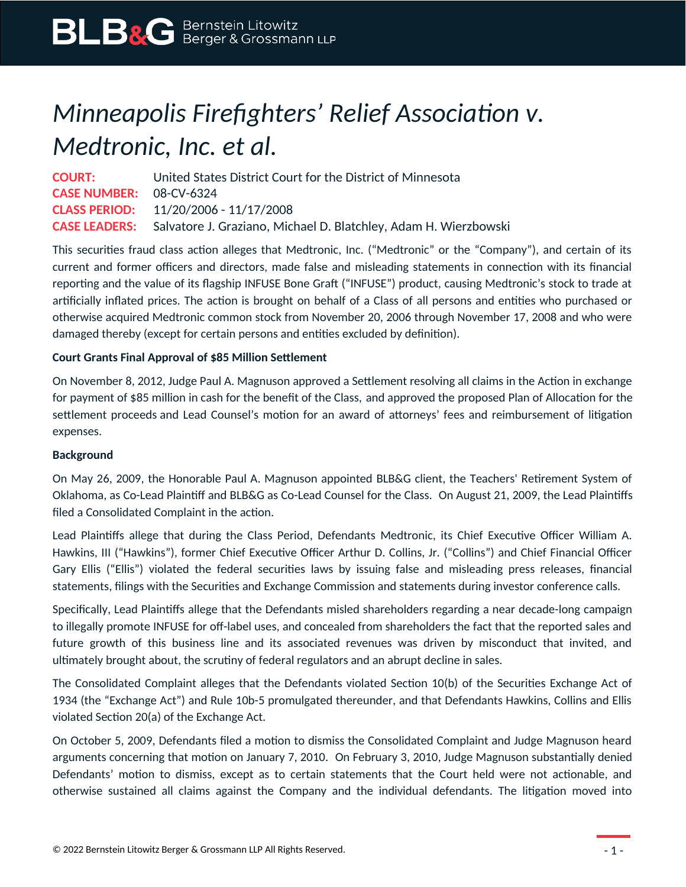## *Minneapolis Firefighters' Relief Association v. Medtronic, Inc. et al.*

**COURT:** United States District Court for the District of Minnesota **CASE NUMBER:** 08-CV-6324 **CLASS PERIOD:** 11/20/2006 - 11/17/2008 **CASE LEADERS:** Salvatore J. Graziano, Michael D. Blatchley, Adam H. Wierzbowski

This securities fraud class action alleges that Medtronic, Inc. ("Medtronic" or the "Company"), and certain of its current and former officers and directors, made false and misleading statements in connection with its financial reporting and the value of its flagship INFUSE Bone Graft ("INFUSE") product, causing Medtronic's stock to trade at artificially inflated prices. The action is brought on behalf of a Class of all persons and entities who purchased or otherwise acquired Medtronic common stock from November 20, 2006 through November 17, 2008 and who were damaged thereby (except for certain persons and entities excluded by definition).

## **Court Grants Final Approval of \$85 Million Settlement**

On November 8, 2012, Judge Paul A. Magnuson approved a Settlement resolving all claims in the Action in exchange for payment of \$85 million in cash for the benefit of the Class, and approved the proposed Plan of Allocation for the settlement proceeds and Lead Counsel's motion for an award of attorneys' fees and reimbursement of litigation expenses.

## **Background**

On May 26, 2009, the Honorable Paul A. Magnuson appointed BLB&G client, the Teachers' Retirement System of Oklahoma, as Co-Lead Plaintiff and BLB&G as Co-Lead Counsel for the Class. On August 21, 2009, the Lead Plaintiffs filed a Consolidated Complaint in the action.

Lead Plaintiffs allege that during the Class Period, Defendants Medtronic, its Chief Executive Officer William A. Hawkins, III ("Hawkins"), former Chief Executive Officer Arthur D. Collins, Jr. ("Collins") and Chief Financial Officer Gary Ellis ("Ellis") violated the federal securities laws by issuing false and misleading press releases, financial statements, filings with the Securities and Exchange Commission and statements during investor conference calls.

Specifically, Lead Plaintiffs allege that the Defendants misled shareholders regarding a near decade-long campaign to illegally promote INFUSE for off-label uses, and concealed from shareholders the fact that the reported sales and future growth of this business line and its associated revenues was driven by misconduct that invited, and ultimately brought about, the scrutiny of federal regulators and an abrupt decline in sales.

The Consolidated Complaint alleges that the Defendants violated Section 10(b) of the Securities Exchange Act of 1934 (the "Exchange Act") and Rule 10b-5 promulgated thereunder, and that Defendants Hawkins, Collins and Ellis violated Section 20(a) of the Exchange Act.

On October 5, 2009, Defendants filed a motion to dismiss the Consolidated Complaint and Judge Magnuson heard arguments concerning that motion on January 7, 2010. On February 3, 2010, Judge Magnuson substantially denied Defendants' motion to dismiss, except as to certain statements that the Court held were not actionable, and otherwise sustained all claims against the Company and the individual defendants. The litigation moved into